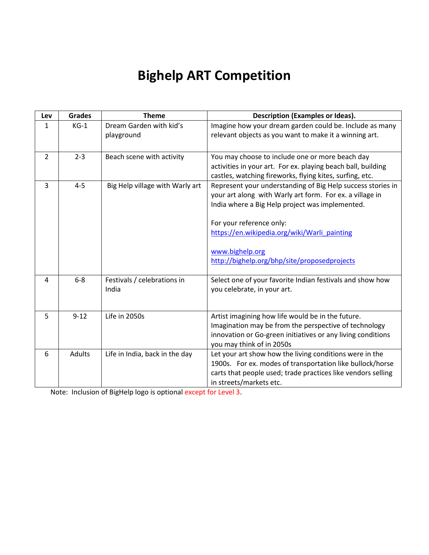# **Bighelp ART Competition**

| Lev            | <b>Grades</b> | <b>Theme</b>                    | <b>Description (Examples or Ideas).</b>                                                                                                                                                                         |
|----------------|---------------|---------------------------------|-----------------------------------------------------------------------------------------------------------------------------------------------------------------------------------------------------------------|
| 1              | $KG-1$        | Dream Garden with kid's         | Imagine how your dream garden could be. Include as many                                                                                                                                                         |
|                |               | playground                      | relevant objects as you want to make it a winning art.                                                                                                                                                          |
| $\overline{2}$ | $2 - 3$       | Beach scene with activity       | You may choose to include one or more beach day<br>activities in your art. For ex. playing beach ball, building<br>castles, watching fireworks, flying kites, surfing, etc.                                     |
| 3              | $4 - 5$       | Big Help village with Warly art | Represent your understanding of Big Help success stories in<br>your art along with Warly art form. For ex. a village in<br>India where a Big Help project was implemented.                                      |
|                |               |                                 | For your reference only:                                                                                                                                                                                        |
|                |               |                                 | https://en.wikipedia.org/wiki/Warli painting                                                                                                                                                                    |
|                |               |                                 | www.bighelp.org                                                                                                                                                                                                 |
|                |               |                                 | http://bighelp.org/bhp/site/proposedprojects                                                                                                                                                                    |
| 4              | $6 - 8$       | Festivals / celebrations in     | Select one of your favorite Indian festivals and show how                                                                                                                                                       |
|                |               | India                           | you celebrate, in your art.                                                                                                                                                                                     |
| 5              | $9 - 12$      | Life in 2050s                   | Artist imagining how life would be in the future.<br>Imagination may be from the perspective of technology                                                                                                      |
|                |               |                                 | innovation or Go-green initiatives or any living conditions<br>you may think of in 2050s                                                                                                                        |
| 6              | <b>Adults</b> | Life in India, back in the day  | Let your art show how the living conditions were in the<br>1900s. For ex. modes of transportation like bullock/horse<br>carts that people used; trade practices like vendors selling<br>in streets/markets etc. |

Note: Inclusion of BigHelp logo is optional except for Level 3.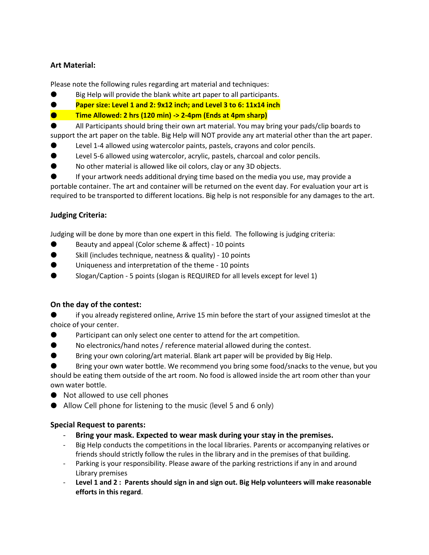# **Art Material:**

Please note the following rules regarding art material and techniques:

- Big Help will provide the blank white art paper to all participants.
- **Paper size: Level 1 and 2: 9x12 inch; and Level 3 to 6: 11x14 inch**
- **Time Allowed: 2 hrs (120 min) -> 2-4pm (Ends at 4pm sharp)**

All Participants should bring their own art material. You may bring your pads/clip boards to support the art paper on the table. Big Help will NOT provide any art material other than the art paper.

- Level 1-4 allowed using watercolor paints, pastels, crayons and color pencils.
- **EXECT:** Level 5-6 allowed using watercolor, acrylic, pastels, charcoal and color pencils.
- No other material is allowed like oil colors, clay or any 3D objects.

If your artwork needs additional drying time based on the media you use, may provide a portable container. The art and container will be returned on the event day. For evaluation your art is required to be transported to different locations. Big help is not responsible for any damages to the art.

# **Judging Criteria:**

Judging will be done by more than one expert in this field. The following is judging criteria:

- Beauty and appeal (Color scheme & affect) 10 points
- Skill (includes technique, neatness & quality) 10 points
- Uniqueness and interpretation of the theme 10 points
- Slogan/Caption 5 points (slogan is REQUIRED for all levels except for level 1)

# **On the day of the contest:**

if you already registered online, Arrive 15 min before the start of your assigned timeslot at the choice of your center.

- Participant can only select one center to attend for the art competition.
- No electronics/hand notes / reference material allowed during the contest.
- Bring your own coloring/art material. Blank art paper will be provided by Big Help.
- Bring your own water bottle. We recommend you bring some food/snacks to the venue, but you

should be eating them outside of the art room. No food is allowed inside the art room other than your own water bottle.

- Not allowed to use cell phones
- Allow Cell phone for listening to the music (level 5 and 6 only)

# **Special Request to parents:**

- **Bring your mask. Expected to wear mask during your stay in the premises.**
- Big Help conducts the competitions in the local libraries. Parents or accompanying relatives or friends should strictly follow the rules in the library and in the premises of that building.
- Parking is your responsibility. Please aware of the parking restrictions if any in and around Library premises
- **Level 1 and 2 : Parents should sign in and sign out. Big Help volunteers will make reasonable efforts in this regard**.